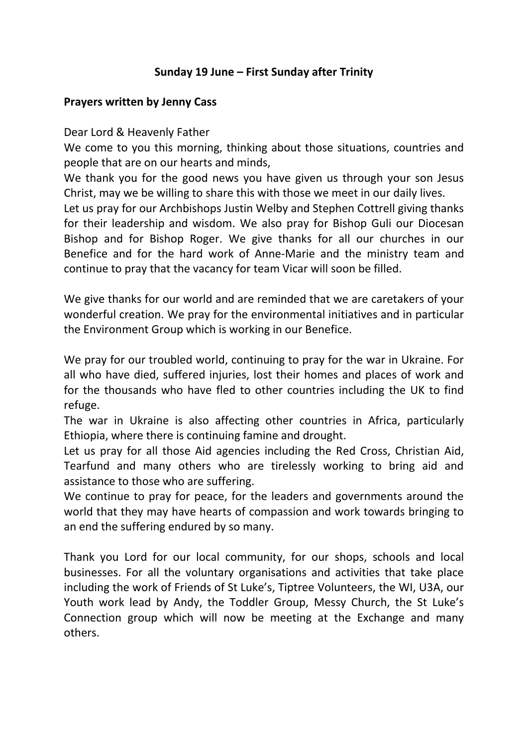## **Sunday 19 June – First Sunday after Trinity**

## **Prayers written by Jenny Cass**

Dear Lord & Heavenly Father

We come to you this morning, thinking about those situations, countries and people that are on our hearts and minds,

We thank you for the good news you have given us through your son Jesus Christ, may we be willing to share this with those we meet in our daily lives.

Let us pray for our Archbishops Justin Welby and Stephen Cottrell giving thanks for their leadership and wisdom. We also pray for Bishop Guli our Diocesan Bishop and for Bishop Roger. We give thanks for all our churches in our Benefice and for the hard work of Anne-Marie and the ministry team and continue to pray that the vacancy for team Vicar will soon be filled.

We give thanks for our world and are reminded that we are caretakers of your wonderful creation. We pray for the environmental initiatives and in particular the Environment Group which is working in our Benefice.

We pray for our troubled world, continuing to pray for the war in Ukraine. For all who have died, suffered injuries, lost their homes and places of work and for the thousands who have fled to other countries including the UK to find refuge.

The war in Ukraine is also affecting other countries in Africa, particularly Ethiopia, where there is continuing famine and drought.

Let us pray for all those Aid agencies including the Red Cross, Christian Aid, Tearfund and many others who are tirelessly working to bring aid and assistance to those who are suffering.

We continue to pray for peace, for the leaders and governments around the world that they may have hearts of compassion and work towards bringing to an end the suffering endured by so many.

Thank you Lord for our local community, for our shops, schools and local businesses. For all the voluntary organisations and activities that take place including the work of Friends of St Luke's, Tiptree Volunteers, the WI, U3A, our Youth work lead by Andy, the Toddler Group, Messy Church, the St Luke's Connection group which will now be meeting at the Exchange and many others.